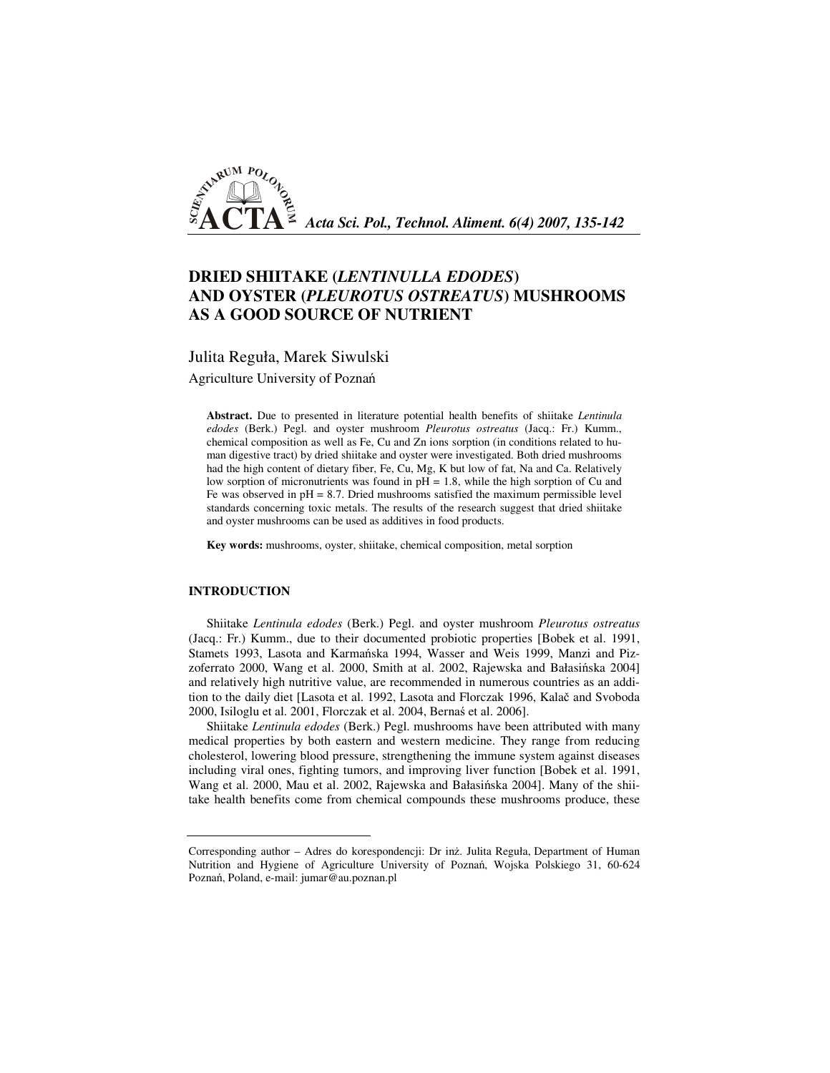

# **DRIED SHIITAKE (***LENTINULLA EDODES***) AND OYSTER (***PLEUROTUS OSTREATUS***) MUSHROOMS AS A GOOD SOURCE OF NUTRIENT**

Julita Reguła, Marek Siwulski

Agriculture University of Poznań

**Abstract.** Due to presented in literature potential health benefits of shiitake *Lentinula edodes* (Berk.) Pegl. and oyster mushroom *Pleurotus ostreatus* (Jacq.: Fr.) Kumm., chemical composition as well as Fe, Cu and Zn ions sorption (in conditions related to human digestive tract) by dried shiitake and oyster were investigated. Both dried mushrooms had the high content of dietary fiber, Fe, Cu, Mg, K but low of fat, Na and Ca. Relatively low sorption of micronutrients was found in pH = 1.8, while the high sorption of Cu and Fe was observed in  $pH = 8.7$ . Dried mushrooms satisfied the maximum permissible level standards concerning toxic metals. The results of the research suggest that dried shiitake and oyster mushrooms can be used as additives in food products.

**Key words:** mushrooms, oyster, shiitake, chemical composition, metal sorption

# **INTRODUCTION**

Shiitake *Lentinula edodes* (Berk.) Pegl. and oyster mushroom *Pleurotus ostreatus* (Jacq.: Fr.) Kumm., due to their documented probiotic properties [Bobek et al. 1991, Stamets 1993, Lasota and Karmańska 1994, Wasser and Weis 1999, Manzi and Pizzoferrato 2000, Wang et al. 2000, Smith at al. 2002, Rajewska and Bałasińska 2004] and relatively high nutritive value, are recommended in numerous countries as an addition to the daily diet [Lasota et al. 1992, Lasota and Florczak 1996, Kalač and Svoboda 2000, Isiloglu et al. 2001, Florczak et al. 2004, Bernaś et al. 2006].

Shiitake *Lentinula edodes* (Berk.) Pegl. mushrooms have been attributed with many medical properties by both eastern and western medicine. They range from reducing cholesterol, lowering blood pressure, strengthening the immune system against diseases including viral ones, fighting tumors, and improving liver function [Bobek et al. 1991, Wang et al. 2000, Mau et al. 2002, Rajewska and Bałasińska 2004]. Many of the shiitake health benefits come from chemical compounds these mushrooms produce, these

Corresponding author – Adres do korespondencji: Dr inż. Julita Reguła, Department of Human Nutrition and Hygiene of Agriculture University of Poznań, Wojska Polskiego 31, 60-624 Poznań, Poland, e-mail: jumar@au.poznan.pl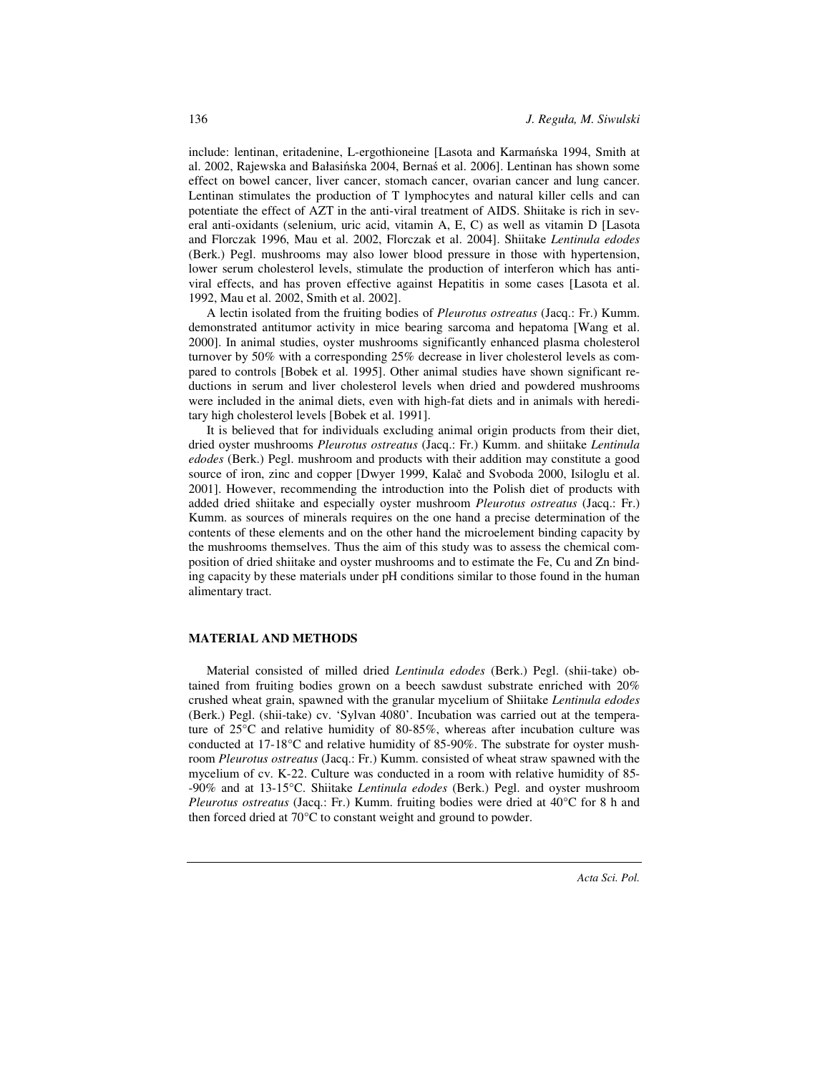include: lentinan, eritadenine, L-ergothioneine [Lasota and Karmańska 1994, Smith at al. 2002, Rajewska and Bałasińska 2004, Bernaś et al. 2006]. Lentinan has shown some effect on bowel cancer, liver cancer, stomach cancer, ovarian cancer and lung cancer. Lentinan stimulates the production of T lymphocytes and natural killer cells and can potentiate the effect of AZT in the anti-viral treatment of AIDS. Shiitake is rich in several anti-oxidants (selenium, uric acid, vitamin A, E, C) as well as vitamin D [Lasota and Florczak 1996, Mau et al. 2002, Florczak et al. 2004]. Shiitake *Lentinula edodes*  (Berk.) Pegl. mushrooms may also lower blood pressure in those with hypertension, lower serum cholesterol levels, stimulate the production of interferon which has antiviral effects, and has proven effective against Hepatitis in some cases [Lasota et al. 1992, Mau et al. 2002, Smith et al. 2002].

A lectin isolated from the fruiting bodies of *Pleurotus ostreatus* (Jacq.: Fr.) Kumm. demonstrated antitumor activity in mice bearing sarcoma and hepatoma [Wang et al. 2000]. In animal studies, oyster mushrooms significantly enhanced plasma cholesterol turnover by 50% with a corresponding 25% decrease in liver cholesterol levels as compared to controls [Bobek et al. 1995]. Other animal studies have shown significant reductions in serum and liver cholesterol levels when dried and powdered mushrooms were included in the animal diets, even with high-fat diets and in animals with hereditary high cholesterol levels [Bobek et al. 1991].

It is believed that for individuals excluding animal origin products from their diet, dried oyster mushrooms *Pleurotus ostreatus* (Jacq.: Fr.) Kumm. and shiitake *Lentinula edodes* (Berk.) Pegl. mushroom and products with their addition may constitute a good source of iron, zinc and copper [Dwyer 1999, Kalač and Svoboda 2000, Isiloglu et al. 2001]. However, recommending the introduction into the Polish diet of products with added dried shiitake and especially oyster mushroom *Pleurotus ostreatus* (Jacq.: Fr.) Kumm. as sources of minerals requires on the one hand a precise determination of the contents of these elements and on the other hand the microelement binding capacity by the mushrooms themselves. Thus the aim of this study was to assess the chemical composition of dried shiitake and oyster mushrooms and to estimate the Fe, Cu and Zn binding capacity by these materials under pH conditions similar to those found in the human alimentary tract.

#### **MATERIAL AND METHODS**

Material consisted of milled dried *Lentinula edodes* (Berk.) Pegl. (shii-take) obtained from fruiting bodies grown on a beech sawdust substrate enriched with 20% crushed wheat grain, spawned with the granular mycelium of Shiitake *Lentinula edodes*  (Berk.) Pegl. (shii-take) cv. 'Sylvan 4080'. Incubation was carried out at the temperature of 25°C and relative humidity of 80-85%, whereas after incubation culture was conducted at 17-18°C and relative humidity of 85-90%. The substrate for oyster mushroom *Pleurotus ostreatus* (Jacq.: Fr.) Kumm. consisted of wheat straw spawned with the mycelium of cv. K-22. Culture was conducted in a room with relative humidity of 85- -90% and at 13-15°C. Shiitake *Lentinula edodes* (Berk.) Pegl. and oyster mushroom *Pleurotus ostreatus* (Jacq.: Fr.) Kumm. fruiting bodies were dried at 40°C for 8 h and then forced dried at 70°C to constant weight and ground to powder.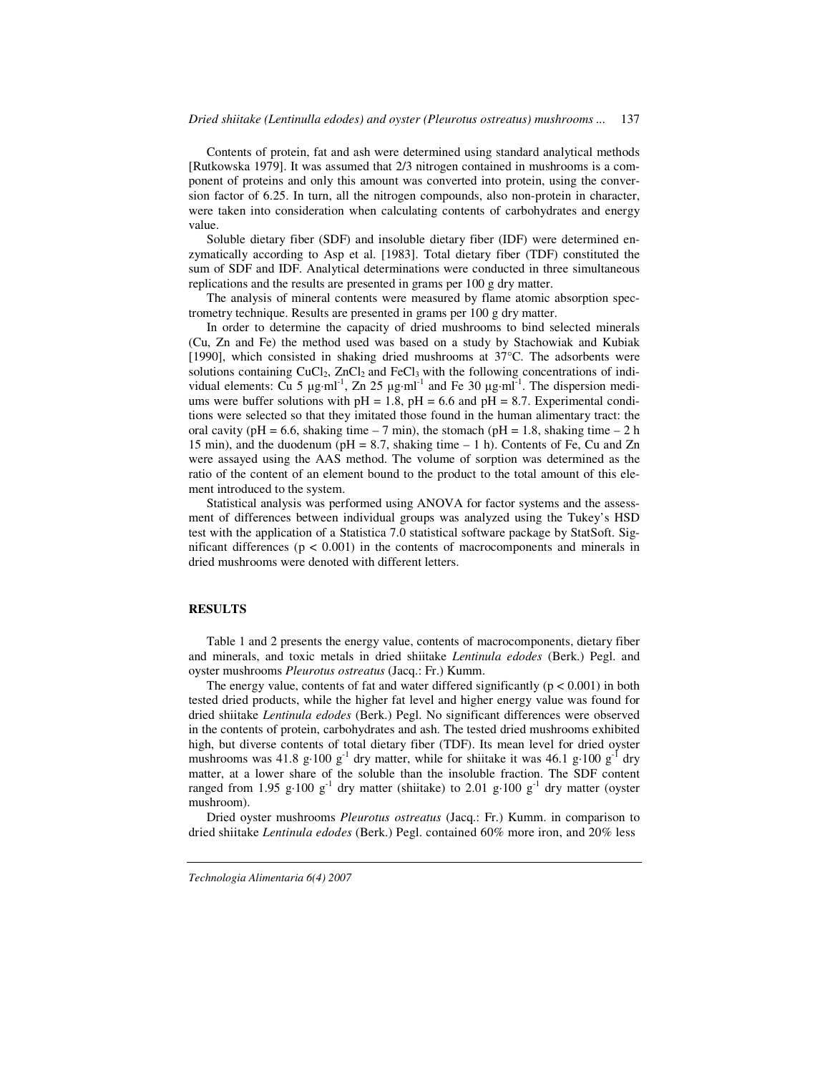Contents of protein, fat and ash were determined using standard analytical methods [Rutkowska 1979]. It was assumed that 2/3 nitrogen contained in mushrooms is a component of proteins and only this amount was converted into protein, using the conversion factor of 6.25. In turn, all the nitrogen compounds, also non-protein in character, were taken into consideration when calculating contents of carbohydrates and energy value.

Soluble dietary fiber (SDF) and insoluble dietary fiber (IDF) were determined enzymatically according to Asp et al. [1983]. Total dietary fiber (TDF) constituted the sum of SDF and IDF. Analytical determinations were conducted in three simultaneous replications and the results are presented in grams per 100 g dry matter.

The analysis of mineral contents were measured by flame atomic absorption spectrometry technique. Results are presented in grams per 100 g dry matter.

In order to determine the capacity of dried mushrooms to bind selected minerals (Cu, Zn and Fe) the method used was based on a study by Stachowiak and Kubiak [1990], which consisted in shaking dried mushrooms at 37°C. The adsorbents were solutions containing  $CuCl<sub>2</sub>$ ,  $ZnCl<sub>2</sub>$  and  $FeCl<sub>3</sub>$  with the following concentrations of individual elements: Cu 5  $\mu$ g·ml<sup>-1</sup>, Zn 25  $\mu$ g·ml<sup>-1</sup> and Fe 30  $\mu$ g·ml<sup>-1</sup>. The dispersion mediums were buffer solutions with  $pH = 1.8$ ,  $pH = 6.6$  and  $pH = 8.7$ . Experimental conditions were selected so that they imitated those found in the human alimentary tract: the oral cavity (pH = 6.6, shaking time – 7 min), the stomach (pH = 1.8, shaking time – 2 h 15 min), and the duodenum ( $pH = 8.7$ , shaking time  $-1$  h). Contents of Fe, Cu and Zn were assayed using the AAS method. The volume of sorption was determined as the ratio of the content of an element bound to the product to the total amount of this element introduced to the system.

Statistical analysis was performed using ANOVA for factor systems and the assessment of differences between individual groups was analyzed using the Tukey's HSD test with the application of a Statistica 7.0 statistical software package by StatSoft. Significant differences ( $p < 0.001$ ) in the contents of macrocomponents and minerals in dried mushrooms were denoted with different letters.

#### **RESULTS**

Table 1 and 2 presents the energy value, contents of macrocomponents, dietary fiber and minerals, and toxic metals in dried shiitake *Lentinula edodes* (Berk.) Pegl. and oyster mushrooms *Pleurotus ostreatus* (Jacq.: Fr.) Kumm.

The energy value, contents of fat and water differed significantly  $(p < 0.001)$  in both tested dried products, while the higher fat level and higher energy value was found for dried shiitake *Lentinula edodes* (Berk.) Pegl. No significant differences were observed in the contents of protein, carbohydrates and ash. The tested dried mushrooms exhibited high, but diverse contents of total dietary fiber (TDF). Its mean level for dried oyster mushrooms was 41.8 g·100  $g^{-1}$  dry matter, while for shiitake it was 46.1 g·100  $g^{-1}$  dry matter, at a lower share of the soluble than the insoluble fraction. The SDF content ranged from 1.95 g·100  $g^{-1}$  dry matter (shiitake) to 2.01 g·100  $g^{-1}$  dry matter (oyster mushroom).

Dried oyster mushrooms *Pleurotus ostreatus* (Jacq.: Fr.) Kumm. in comparison to dried shiitake *Lentinula edodes* (Berk.) Pegl. contained 60% more iron, and 20% less

*Technologia Alimentaria 6(4) 2007*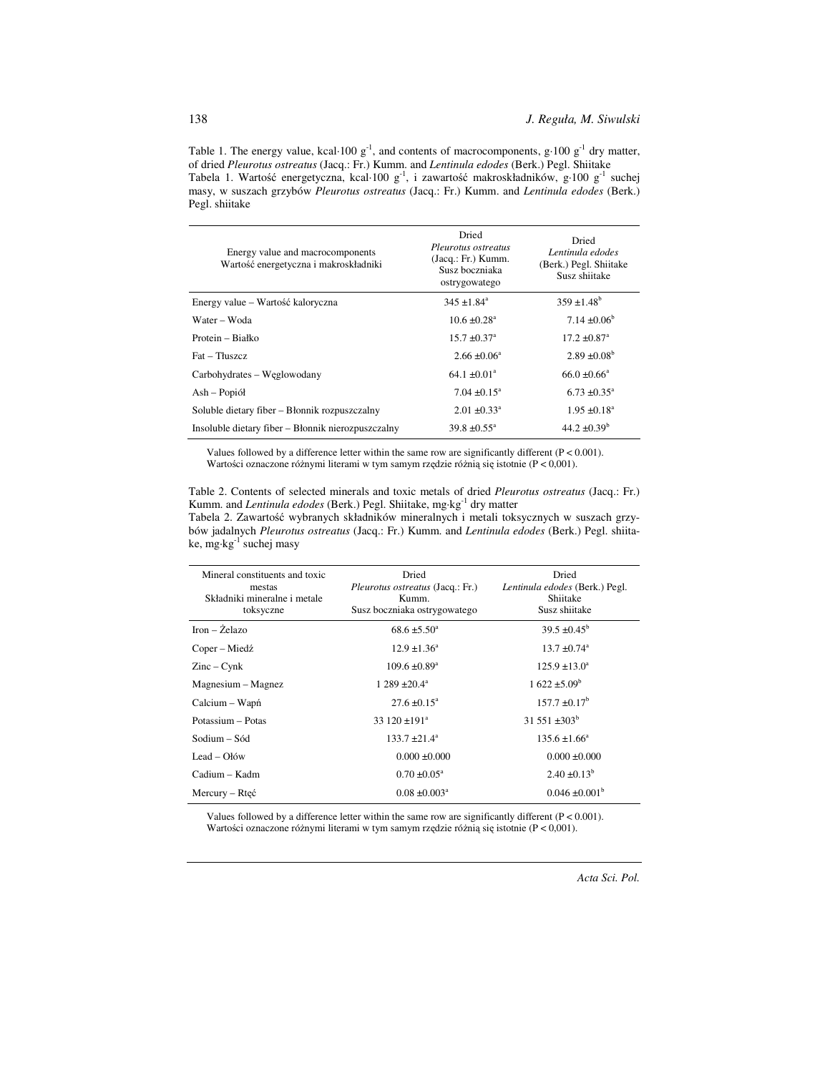Table 1. The energy value, kcal·100  $g^{-1}$ , and contents of macrocomponents,  $g \cdot 100 g^{-1}$  dry matter, of dried *Pleurotus ostreatus* (Jacq.: Fr.) Kumm. and *Lentinula edodes* (Berk.) Pegl. Shiitake Tabela 1. Wartość energetyczna, kcal·100 g<sup>-1</sup>, i zawartość makroskładników, g·100 g<sup>-1</sup> suchej masy, w suszach grzybów *Pleurotus ostreatus* (Jacq.: Fr.) Kumm. and *Lentinula edodes* (Berk.) Pegl. shiitake

| Energy value and macrocomponents<br>Wartość energetyczna i makroskładniki | Dried<br>Pleurotus ostreatus<br>(Jacq.: Fr.) Kumm.<br>Susz boczniaka<br>ostrygowatego | Dried<br>Lentinula edodes<br>(Berk.) Pegl. Shiitake<br>Susz shiitake |
|---------------------------------------------------------------------------|---------------------------------------------------------------------------------------|----------------------------------------------------------------------|
| Energy value – Wartość kaloryczna                                         | $345 \pm 1.84$ <sup>a</sup>                                                           | $359 \pm 1.48^b$                                                     |
| Water – Woda                                                              | $10.6 \pm 0.28$ <sup>a</sup>                                                          | $7.14 \pm 0.06^b$                                                    |
| Protein – Białko                                                          | $15.7 \pm 0.37^{\circ}$                                                               | $17.2 \pm 0.87$ <sup>a</sup>                                         |
| Fat - Thiszcz                                                             | $2.66 \pm 0.06^a$                                                                     | $2.89 \pm 0.08^b$                                                    |
| Carbohydrates – Węglowodany                                               | $64.1 \pm 0.01^a$                                                                     | $66.0 \pm 0.66^a$                                                    |
| Ash – Popiół                                                              | $7.04 \pm 0.15^{\circ}$                                                               | $6.73 \pm 0.35^{\circ}$                                              |
| Soluble dietary fiber - Błonnik rozpuszczalny                             | $2.01 \pm 0.33^{\circ}$                                                               | $1.95 \pm 0.18^a$                                                    |
| Insoluble dietary fiber – Błonnik nierozpuszczalny                        | $39.8 \pm 0.55^{\circ}$                                                               | $44.2 \pm 0.39^b$                                                    |

Values followed by a difference letter within the same row are significantly different  $(P < 0.001)$ . Wartości oznaczone różnymi literami w tym samym rzędzie różnią się istotnie (P < 0,001).

Table 2. Contents of selected minerals and toxic metals of dried *Pleurotus ostreatus* (Jacq.: Fr.) Kumm. and *Lentinula edodes* (Berk.) Pegl. Shiitake, mg·kg<sup>-1</sup> dry matter Tabela 2. Zawartość wybranych składników mineralnych i metali toksycznych w suszach grzy-

bów jadalnych *Pleurotus ostreatus* (Jacq.: Fr.) Kumm. and *Lentinula edodes* (Berk.) Pegl. shiitake, mg·kg-1 suchej masy

| Mineral constituents and toxic<br>mestas<br>Składniki mineralne i metale<br>toksyczne | Dried<br><i>Pleurotus ostreatus</i> (Jacq.: Fr.)<br>Kumm.<br>Susz boczniaka ostrygowatego | Dried<br>Lentinula edodes (Berk.) Pegl.<br>Shiitake<br>Susz shiitake |
|---------------------------------------------------------------------------------------|-------------------------------------------------------------------------------------------|----------------------------------------------------------------------|
| $Iron - Želazo$                                                                       | $68.6 \pm 5.50^{\circ}$                                                                   | $39.5 \pm 0.45^{\circ}$                                              |
| Coper – Miedź                                                                         | $12.9 \pm 1.36^{\circ}$                                                                   | $13.7 \pm 0.74$ <sup>a</sup>                                         |
| $\text{Zinc} - \text{Cynk}$                                                           | $109.6 \pm 0.89^{\circ}$                                                                  | $125.9 \pm 13.0^a$                                                   |
| Magnesium – Magnez                                                                    | $1289 \pm 20.4^{\circ}$                                                                   | $1622 \pm 5.09^{\circ}$                                              |
| Calcium – Wapń                                                                        | $27.6 \pm 0.15^{\circ}$                                                                   | $157.7 \pm 0.17^b$                                                   |
| Potassium – Potas                                                                     | 33 120 $\pm$ 191 <sup>a</sup>                                                             | 31 551 $\pm 303^{\rm b}$                                             |
| Sodium – Sód                                                                          | $133.7 \pm 21.4^a$                                                                        | $135.6 \pm 1.66^{\circ}$                                             |
| Lead – $O$ łów                                                                        | $0.000 \pm 0.000$                                                                         | $0.000 \pm 0.000$                                                    |
| Cadium – Kadm                                                                         | $0.70 \pm 0.05^{\circ}$                                                                   | $2.40 \pm 0.13^b$                                                    |
| Mercury – Rtęć                                                                        | $0.08 \pm 0.003^{\circ}$                                                                  | $0.046 \pm 0.001^b$                                                  |

Values followed by a difference letter within the same row are significantly different  $(P < 0.001)$ . Wartości oznaczone różnymi literami w tym samym rzędzie różnią się istotnie (P < 0,001).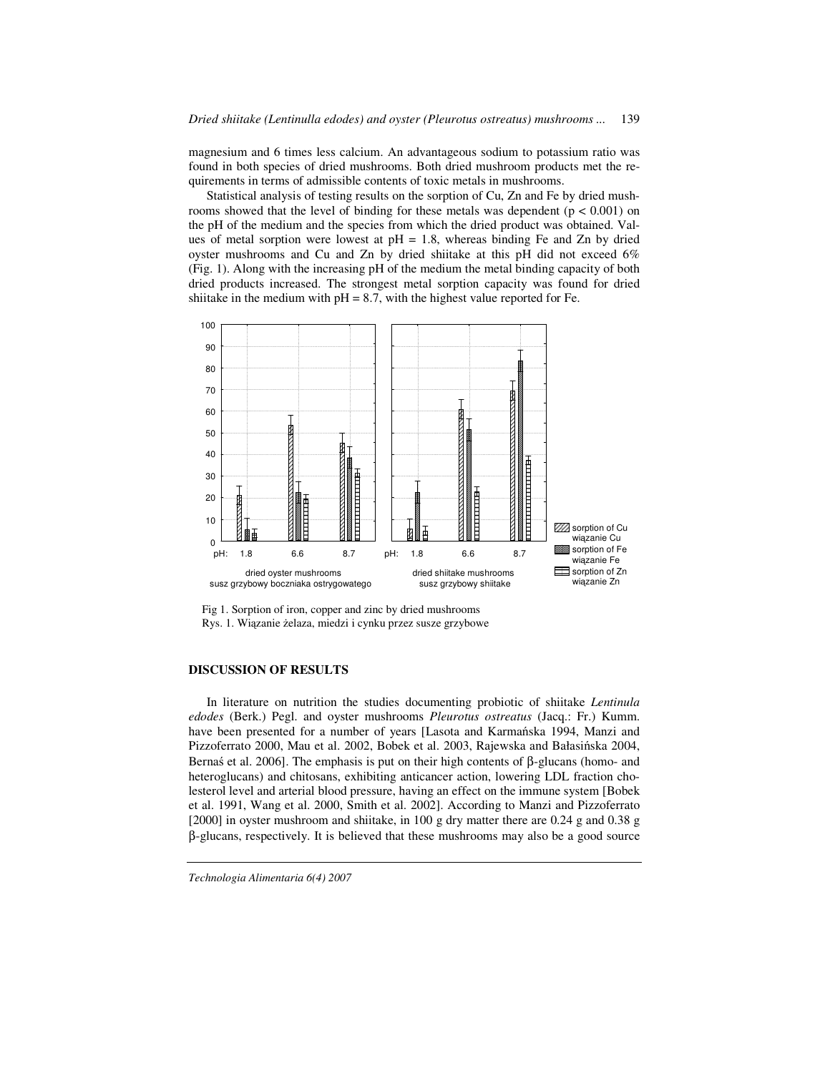magnesium and 6 times less calcium. An advantageous sodium to potassium ratio was found in both species of dried mushrooms. Both dried mushroom products met the requirements in terms of admissible contents of toxic metals in mushrooms.

Statistical analysis of testing results on the sorption of Cu, Zn and Fe by dried mushrooms showed that the level of binding for these metals was dependent ( $p < 0.001$ ) on the pH of the medium and the species from which the dried product was obtained. Values of metal sorption were lowest at  $pH = 1.8$ , whereas binding Fe and Zn by dried oyster mushrooms and Cu and Zn by dried shiitake at this pH did not exceed 6% (Fig. 1). Along with the increasing pH of the medium the metal binding capacity of both dried products increased. The strongest metal sorption capacity was found for dried shiitake in the medium with  $pH = 8.7$ , with the highest value reported for Fe.



Fig 1. Sorption of iron, copper and zinc by dried mushrooms Rys. 1. Wiązanie żelaza, miedzi i cynku przez susze grzybowe

## **DISCUSSION OF RESULTS**

In literature on nutrition the studies documenting probiotic of shiitake *Lentinula edodes* (Berk.) Pegl. and oyster mushrooms *Pleurotus ostreatus* (Jacq.: Fr.) Kumm. have been presented for a number of years [Lasota and Karmańska 1994, Manzi and Pizzoferrato 2000, Mau et al. 2002, Bobek et al. 2003, Rajewska and Bałasińska 2004, Bernaś et al. 2006]. The emphasis is put on their high contents of β-glucans (homo- and heteroglucans) and chitosans, exhibiting anticancer action, lowering LDL fraction cholesterol level and arterial blood pressure, having an effect on the immune system [Bobek et al. 1991, Wang et al. 2000, Smith et al. 2002]. According to Manzi and Pizzoferrato [2000] in oyster mushroom and shiitake, in 100 g dry matter there are 0.24 g and 0.38 g β-glucans, respectively. It is believed that these mushrooms may also be a good source

*Technologia Alimentaria 6(4) 2007*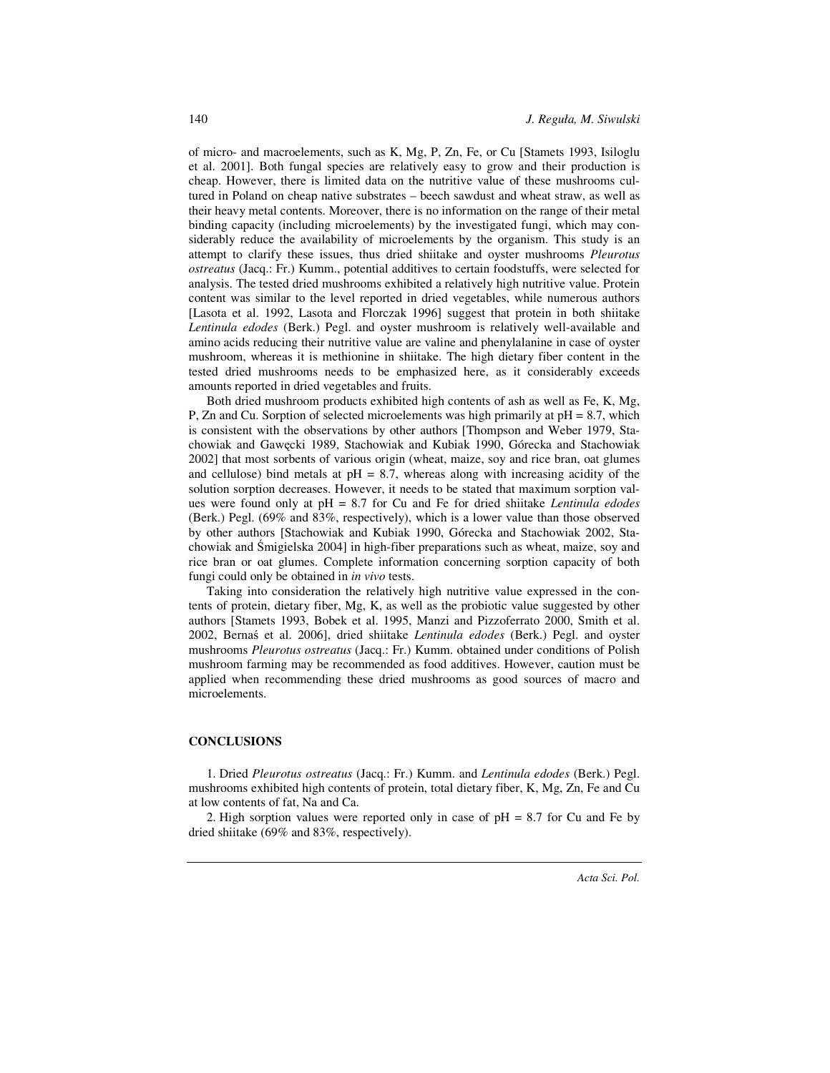of micro- and macroelements, such as K, Mg, P, Zn, Fe, or Cu [Stamets 1993, Isiloglu et al. 2001]. Both fungal species are relatively easy to grow and their production is cheap. However, there is limited data on the nutritive value of these mushrooms cultured in Poland on cheap native substrates – beech sawdust and wheat straw, as well as their heavy metal contents. Moreover, there is no information on the range of their metal binding capacity (including microelements) by the investigated fungi, which may considerably reduce the availability of microelements by the organism. This study is an attempt to clarify these issues, thus dried shiitake and oyster mushrooms *Pleurotus ostreatus* (Jacq.: Fr.) Kumm., potential additives to certain foodstuffs, were selected for analysis. The tested dried mushrooms exhibited a relatively high nutritive value. Protein content was similar to the level reported in dried vegetables, while numerous authors [Lasota et al. 1992, Lasota and Florczak 1996] suggest that protein in both shiitake *Lentinula edodes* (Berk.) Pegl. and oyster mushroom is relatively well-available and amino acids reducing their nutritive value are valine and phenylalanine in case of oyster mushroom, whereas it is methionine in shiitake. The high dietary fiber content in the tested dried mushrooms needs to be emphasized here, as it considerably exceeds amounts reported in dried vegetables and fruits.

Both dried mushroom products exhibited high contents of ash as well as Fe, K, Mg, P, Zn and Cu. Sorption of selected microelements was high primarily at  $pH = 8.7$ , which is consistent with the observations by other authors [Thompson and Weber 1979, Stachowiak and Gawęcki 1989, Stachowiak and Kubiak 1990, Górecka and Stachowiak 2002] that most sorbents of various origin (wheat, maize, soy and rice bran, oat glumes and cellulose) bind metals at  $pH = 8.7$ , whereas along with increasing acidity of the solution sorption decreases. However, it needs to be stated that maximum sorption values were found only at pH = 8.7 for Cu and Fe for dried shiitake *Lentinula edodes*  (Berk.) Pegl. (69% and 83%, respectively), which is a lower value than those observed by other authors [Stachowiak and Kubiak 1990, Górecka and Stachowiak 2002, Stachowiak and Śmigielska 2004] in high-fiber preparations such as wheat, maize, soy and rice bran or oat glumes. Complete information concerning sorption capacity of both fungi could only be obtained in *in vivo* tests.

Taking into consideration the relatively high nutritive value expressed in the contents of protein, dietary fiber, Mg, K, as well as the probiotic value suggested by other authors [Stamets 1993, Bobek et al. 1995, Manzi and Pizzoferrato 2000, Smith et al. 2002, Bernaś et al. 2006], dried shiitake *Lentinula edodes* (Berk.) Pegl. and oyster mushrooms *Pleurotus ostreatus* (Jacq.: Fr.) Kumm. obtained under conditions of Polish mushroom farming may be recommended as food additives. However, caution must be applied when recommending these dried mushrooms as good sources of macro and microelements.

#### **CONCLUSIONS**

1. Dried *Pleurotus ostreatus* (Jacq.: Fr.) Kumm. and *Lentinula edodes* (Berk.) Pegl. mushrooms exhibited high contents of protein, total dietary fiber, K, Mg, Zn, Fe and Cu at low contents of fat, Na and Ca.

2. High sorption values were reported only in case of  $pH = 8.7$  for Cu and Fe by dried shiitake (69% and 83%, respectively).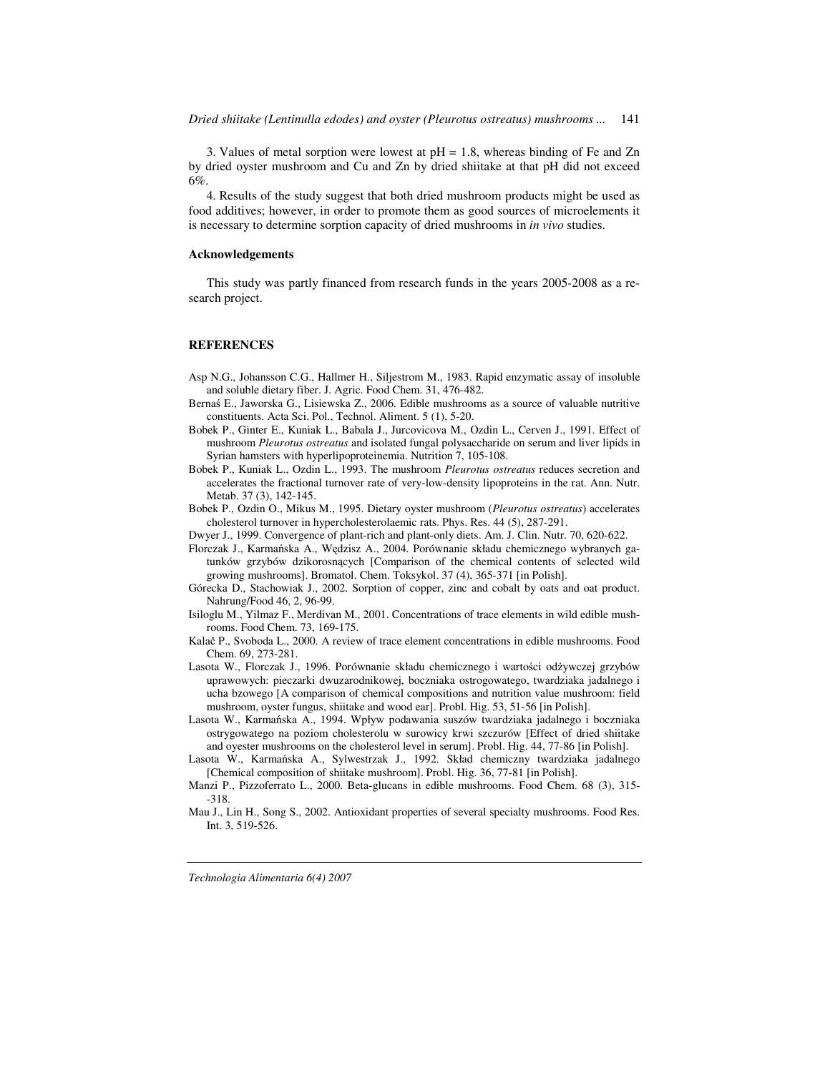3. Values of metal sorption were lowest at  $pH = 1.8$ , whereas binding of Fe and Zn by dried oyster mushroom and Cu and Zn by dried shiitake at that pH did not exceed 6%.

4. Results of the study suggest that both dried mushroom products might be used as food additives; however, in order to promote them as good sources of microelements it is necessary to determine sorption capacity of dried mushrooms in *in vivo* studies.

#### **Acknowledgements**

This study was partly financed from research funds in the years 2005-2008 as a research project.

#### **REFERENCES**

- Asp N.G., Johansson C.G., Hallmer H., Siljestrom M., 1983. Rapid enzymatic assay of insoluble and soluble dietary fiber. J. Agric. Food Chem. 31, 476-482.
- Bernaś E., Jaworska G., Lisiewska Z., 2006. Edible mushrooms as a source of valuable nutritive constituents. Acta Sci. Pol., Technol. Aliment. 5 (1), 5-20.
- Bobek P., Ginter E., Kuniak L., Babala J., Jurcovicova M., Ozdin L., Cerven J., 1991. Effect of mushroom *Pleurotus ostreatus* and isolated fungal polysaccharide on serum and liver lipids in Syrian hamsters with hyperlipoproteinemia. Nutrition 7, 105-108.
- Bobek P., Kuniak L., Ozdin L., 1993. The mushroom *Pleurotus ostreatus* reduces secretion and accelerates the fractional turnover rate of very-low-density lipoproteins in the rat. Ann. Nutr. Metab. 37 (3), 142-145.
- Bobek P., Ozdin O., Mikus M., 1995. Dietary oyster mushroom (*Pleurotus ostreatus*) accelerates cholesterol turnover in hypercholesterolaemic rats. Phys. Res. 44 (5), 287-291.
- Dwyer J., 1999. Convergence of plant-rich and plant-only diets. Am. J. Clin. Nutr. 70, 620-622.
- Florczak J., Karmańska A., Wędzisz A., 2004. Porównanie składu chemicznego wybranych gatunków grzybów dzikorosnących [Comparison of the chemical contents of selected wild growing mushrooms]. Bromatol. Chem. Toksykol. 37 (4), 365-371 [in Polish].
- Górecka D., Stachowiak J., 2002. Sorption of copper, zinc and cobalt by oats and oat product. Nahrung/Food 46, 2, 96-99.
- Isiloglu M., Yilmaz F., Merdivan M., 2001. Concentrations of trace elements in wild edible mushrooms. Food Chem. 73, 169-175.
- Kalač P., Svoboda L., 2000. A review of trace element concentrations in edible mushrooms. Food Chem. 69, 273-281.
- Lasota W., Florczak J., 1996. Porównanie składu chemicznego i wartości odżywczej grzybów uprawowych: pieczarki dwuzarodnikowej, boczniaka ostrogowatego, twardziaka jadalnego i ucha bzowego [A comparison of chemical compositions and nutrition value mushroom: field mushroom, oyster fungus, shiitake and wood ear]. Probl. Hig. 53, 51-56 [in Polish].
- Lasota W., Karmańska A., 1994. Wpływ podawania suszów twardziaka jadalnego i boczniaka ostrygowatego na poziom cholesterolu w surowicy krwi szczurów [Effect of dried shiitake and oyester mushrooms on the cholesterol level in serum]. Probl. Hig. 44, 77-86 [in Polish].

Lasota W., Karmańska A., Sylwestrzak J., 1992. Skład chemiczny twardziaka jadalnego [Chemical composition of shiitake mushroom]. Probl. Hig. 36, 77-81 [in Polish].

Mau J., Lin H., Song S., 2002. Antioxidant properties of several specialty mushrooms. Food Res. Int. 3, 519-526.

*Technologia Alimentaria 6(4) 2007* 

Manzi P., Pizzoferrato L., 2000. Beta-glucans in edible mushrooms. Food Chem. 68 (3), 315- -318.